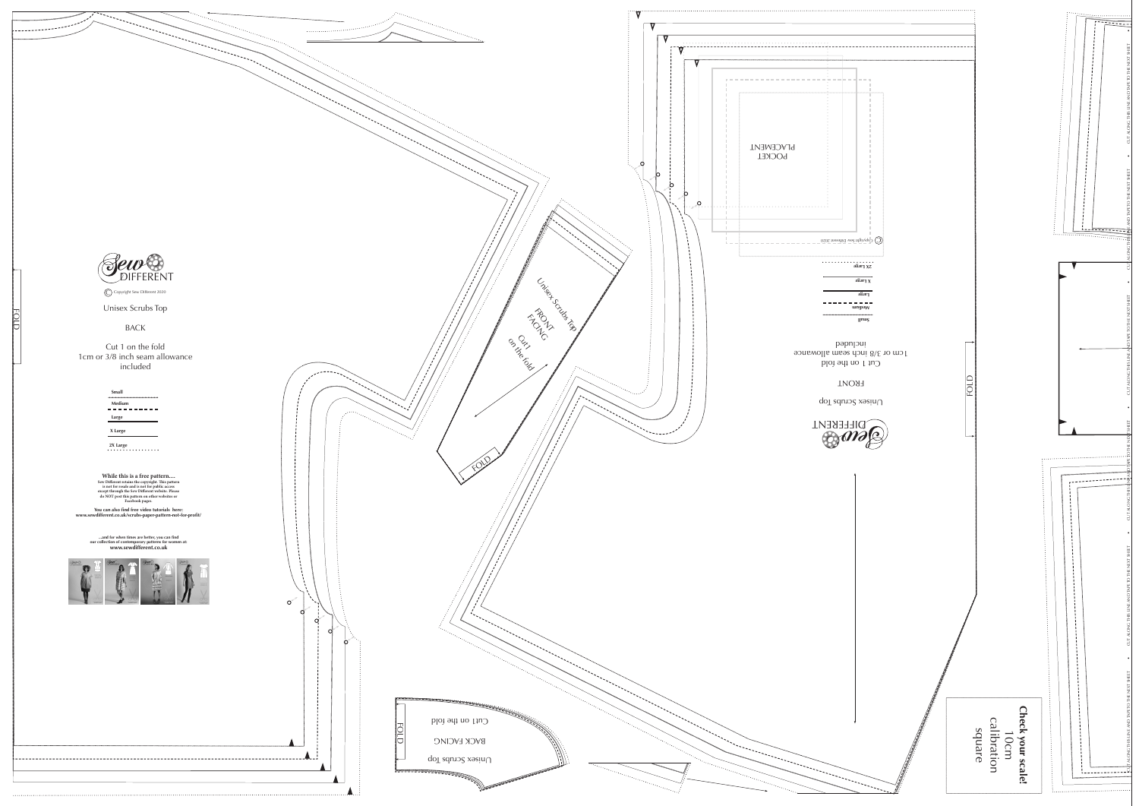

Unisex Scrubs Top

## BACK

## Cut 1 on the fold 1cm or 3/8 inch seam allowance included



FOLD

| <b>Small</b> |
|--------------|
| Medium       |
| Large        |
| X Large      |
| 2X Large     |

**While this is a free pattern.... Sew Different retains the copyright. This pattern is not for resale and is not for public access except through the Sew Different website. Please do NOT post this pattern on other websites or Facebook pages.**

**You can also find free video tutorials here: www.sewdifferent.co.uk/scrubs-paper-pattern-not-for-profit/**

> **...and for when times are better, you can find our collection of contemporary patterns for women at: www.sewdifferent.co.uk**